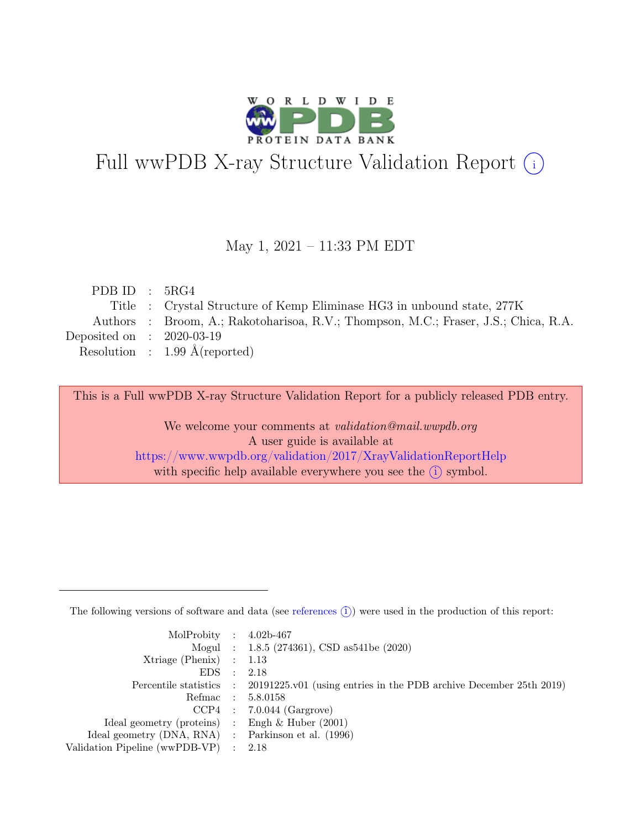

# Full wwPDB X-ray Structure Validation Report  $(i)$

#### May 1, 2021 – 11:33 PM EDT

| PDB ID : $5RG4$             |                                                                                     |
|-----------------------------|-------------------------------------------------------------------------------------|
|                             | Title : Crystal Structure of Kemp Eliminase HG3 in unbound state, 277K              |
|                             | Authors : Broom, A.; Rakotoharisoa, R.V.; Thompson, M.C.; Fraser, J.S.; Chica, R.A. |
| Deposited on : $2020-03-19$ |                                                                                     |
|                             | Resolution : $1.99 \text{ Å}$ (reported)                                            |
|                             |                                                                                     |

This is a Full wwPDB X-ray Structure Validation Report for a publicly released PDB entry.

We welcome your comments at validation@mail.wwpdb.org A user guide is available at <https://www.wwpdb.org/validation/2017/XrayValidationReportHelp> with specific help available everywhere you see the  $(i)$  symbol.

The following versions of software and data (see [references](https://www.wwpdb.org/validation/2017/XrayValidationReportHelp#references)  $(i)$ ) were used in the production of this report:

| MolProbity : $4.02b-467$                            |                                                                                            |
|-----------------------------------------------------|--------------------------------------------------------------------------------------------|
|                                                     | Mogul : 1.8.5 (274361), CSD as 541be (2020)                                                |
| Xtriage (Phenix) $: 1.13$                           |                                                                                            |
| EDS : 2.18                                          |                                                                                            |
|                                                     | Percentile statistics : 20191225.v01 (using entries in the PDB archive December 25th 2019) |
|                                                     | Refmac : 5.8.0158                                                                          |
|                                                     | $CCP4$ : 7.0.044 (Gargrove)                                                                |
| Ideal geometry (proteins) : Engh $\&$ Huber (2001)  |                                                                                            |
| Ideal geometry (DNA, RNA) : Parkinson et al. (1996) |                                                                                            |
| Validation Pipeline (wwPDB-VP) : 2.18               |                                                                                            |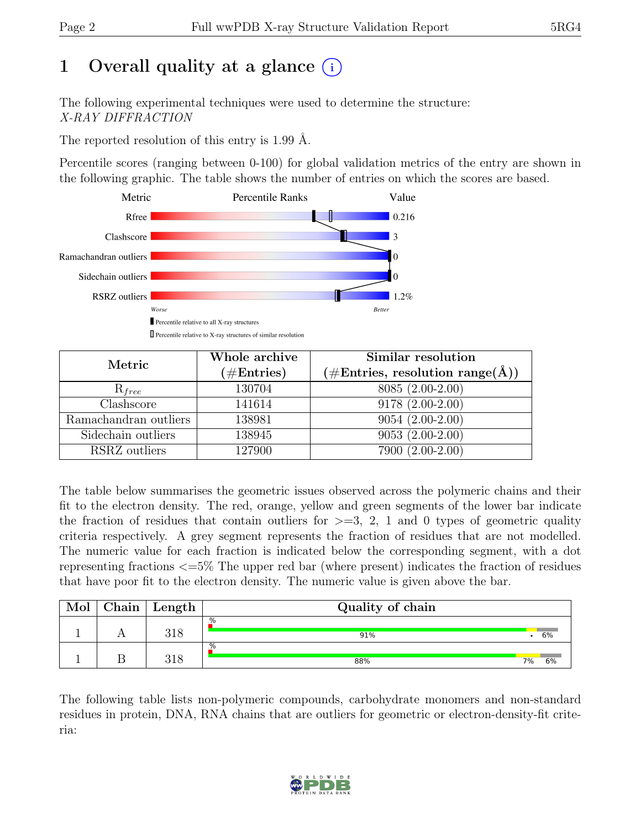# 1 Overall quality at a glance  $(i)$

The following experimental techniques were used to determine the structure: X-RAY DIFFRACTION

The reported resolution of this entry is 1.99 Å.

Percentile scores (ranging between 0-100) for global validation metrics of the entry are shown in the following graphic. The table shows the number of entries on which the scores are based.



| Metric                | Whole archive        | Similar resolution                                           |  |  |
|-----------------------|----------------------|--------------------------------------------------------------|--|--|
|                       | $(\#\text{Entries})$ | $(\# \text{Entries}, \text{ resolution } \text{range}(\AA))$ |  |  |
| $R_{free}$            | 130704               | 8085 (2.00-2.00)                                             |  |  |
| Clashscore            | 141614               | $9178(2.00-2.00)$                                            |  |  |
| Ramachandran outliers | 138981               | $9054(2.00-2.00)$                                            |  |  |
| Sidechain outliers    | 138945               | $9053(2.00-2.00)$                                            |  |  |
| RSRZ outliers         | 127900               | 7900 (2.00-2.00)                                             |  |  |

The table below summarises the geometric issues observed across the polymeric chains and their fit to the electron density. The red, orange, yellow and green segments of the lower bar indicate the fraction of residues that contain outliers for  $\geq$ =3, 2, 1 and 0 types of geometric quality criteria respectively. A grey segment represents the fraction of residues that are not modelled. The numeric value for each fraction is indicated below the corresponding segment, with a dot representing fractions <=5% The upper red bar (where present) indicates the fraction of residues that have poor fit to the electron density. The numeric value is given above the bar.

| Mol | Chain | ' Length | Quality of chain |    |    |
|-----|-------|----------|------------------|----|----|
|     |       | 318      | .%<br>91%        |    | 6% |
|     |       | 318      | .%<br>88%        | 7% | 6% |

The following table lists non-polymeric compounds, carbohydrate monomers and non-standard residues in protein, DNA, RNA chains that are outliers for geometric or electron-density-fit criteria:

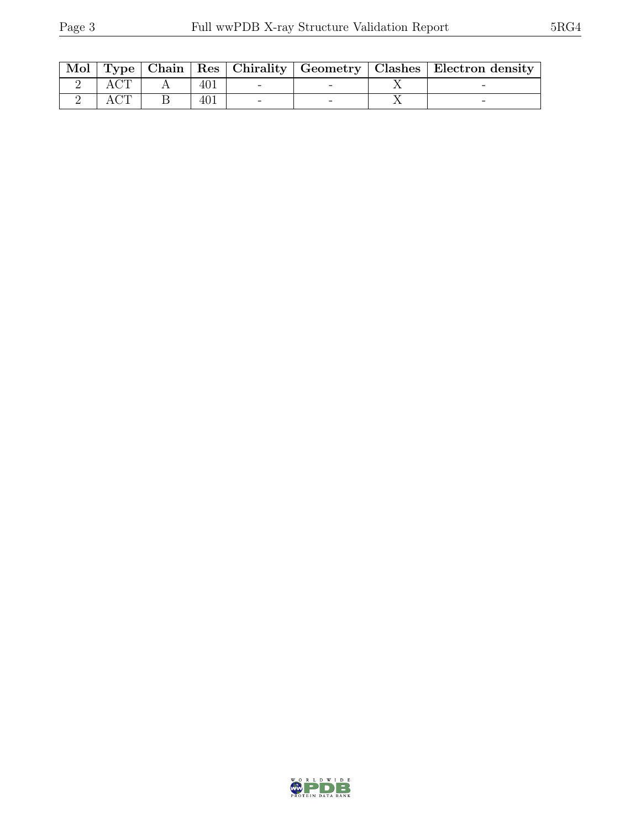|  |  |  | Mol   Type   Chain   Res   Chirality   Geometry   Clashes   Electron density |
|--|--|--|------------------------------------------------------------------------------|
|  |  |  |                                                                              |
|  |  |  |                                                                              |

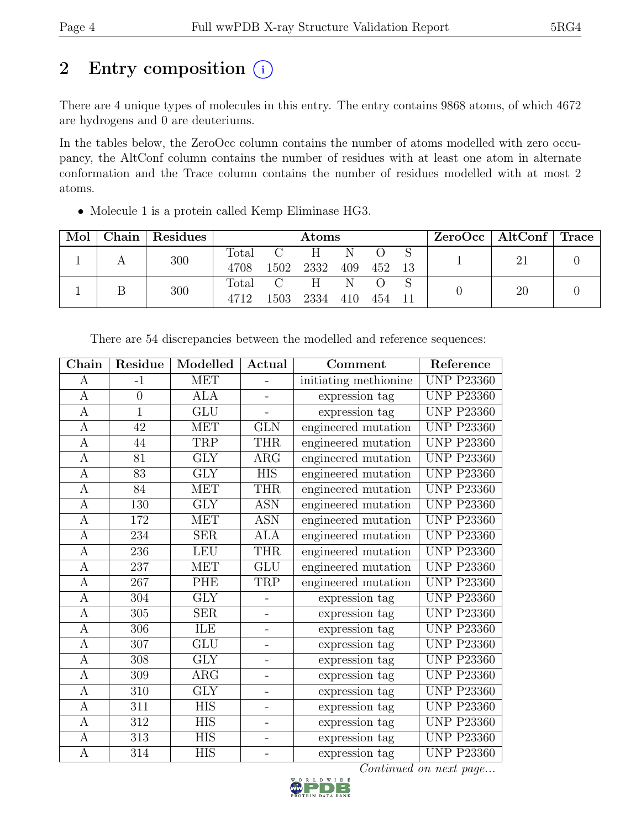## 2 Entry composition  $(i)$

There are 4 unique types of molecules in this entry. The entry contains 9868 atoms, of which 4672 are hydrogens and 0 are deuteriums.

In the tables below, the ZeroOcc column contains the number of atoms modelled with zero occupancy, the AltConf column contains the number of residues with at least one atom in alternate conformation and the Trace column contains the number of residues modelled with at most 2 atoms.

• Molecule 1 is a protein called Kemp Eliminase HG3.

| Mol | Chain Residues | Atoms         |                       |                 |          | $ZeroOcc \mid AltConf \mid Trace$ |  |    |  |
|-----|----------------|---------------|-----------------------|-----------------|----------|-----------------------------------|--|----|--|
|     | 300            | Total<br>4708 |                       | H.<br>1502 2332 | N<br>409 | 452                               |  |    |  |
|     | 300            | Total<br>4712 | $\mathcal{C}$<br>1503 | H.<br>2334      | N<br>410 | 454                               |  | 20 |  |

|                                                                                                      | Reference<br>Comment |
|------------------------------------------------------------------------------------------------------|----------------------|
| <b>MET</b><br>initiating methionine<br>$-1$<br>А                                                     | <b>UNP P23360</b>    |
| $\overline{0}$<br><b>ALA</b><br>expression tag<br>$\mathbf{A}$                                       | <b>UNP P23360</b>    |
| $\overline{1}$<br>$\overline{\text{GLU}}$<br>expression tag<br>A<br>$\overline{a}$                   | <b>UNP P23360</b>    |
| $\mathbf{A}$<br><b>MET</b><br><b>GLN</b><br>engineered mutation<br>42                                | <b>UNP P23360</b>    |
| $\mathbf{A}$<br>TRP<br>44<br><b>THR</b><br>engineered mutation                                       | <b>UNP P23360</b>    |
| <b>GLY</b><br>$\mathbf{A}$<br>81<br>ARG<br>engineered mutation                                       | <b>UNP P23360</b>    |
| $\overline{\text{GLY}}$<br>$\bf{A}$<br>83<br><b>HIS</b><br>engineered mutation                       | <b>UNP P23360</b>    |
| engineered mutation<br>84<br><b>MET</b><br><b>THR</b><br>$\boldsymbol{A}$                            | <b>UNP P23360</b>    |
| 130<br><b>GLY</b><br><b>ASN</b><br>engineered mutation<br>$\mathbf{A}$                               | <b>UNP P23360</b>    |
| engineered mutation<br>172<br><b>MET</b><br><b>ASN</b><br>А                                          | <b>UNP P23360</b>    |
| <b>SER</b><br><b>ALA</b><br>engineered mutation<br>A<br>234                                          | <b>UNP P23360</b>    |
| $\mathbf{A}$<br><b>LEU</b><br><b>THR</b><br>engineered mutation<br>236                               | <b>UNP P23360</b>    |
| $\overline{A}$<br>237<br><b>MET</b><br><b>GLU</b><br>engineered mutation                             | <b>UNP P23360</b>    |
| $\boldsymbol{A}$<br>267<br>PHE<br>TRP<br>engineered mutation                                         | <b>UNP P23360</b>    |
| $\overline{\text{GLY}}$<br>304<br>$\mathbf{A}$<br>expression tag<br>÷.                               | <b>UNP P23360</b>    |
| 305<br><b>SER</b><br>expression tag<br>A<br>-                                                        | <b>UNP P23360</b>    |
| ILE<br>306<br>expression tag<br>A<br>$\overline{a}$                                                  | <b>UNP P23360</b>    |
| 307<br>GLU<br>expression tag<br>A<br>$\overline{a}$                                                  | <b>UNP P23360</b>    |
| <b>GLY</b><br>$\mathbf{A}$<br>308<br>expression tag<br>$\overline{a}$                                | <b>UNP P23360</b>    |
| $\mathbf{A}$<br>309<br>$\rm{ARG}$<br>expression tag<br>$\overline{\phantom{0}}$                      | <b>UNP P23360</b>    |
| $\mathbf{A}$<br>310<br><b>GLY</b><br>expression tag<br>$\overline{a}$                                | <b>UNP P23360</b>    |
| $\overline{HIS}$<br>$\overline{A}$<br>$\overline{311}$<br>expression tag<br>$\overline{\phantom{0}}$ | <b>UNP P23360</b>    |
| <b>HIS</b><br>312<br>A<br>expression tag<br>-                                                        | <b>UNP P23360</b>    |
| 313<br>${\rm HIS}$<br>expression tag<br>$\boldsymbol{A}$<br>$\overline{\phantom{0}}$                 | <b>UNP P23360</b>    |
| <b>HIS</b><br>314<br>A<br>expression tag<br>$\overline{a}$                                           | <b>UNP P23360</b>    |

There are 54 discrepancies between the modelled and reference sequences:

Continued on next page...

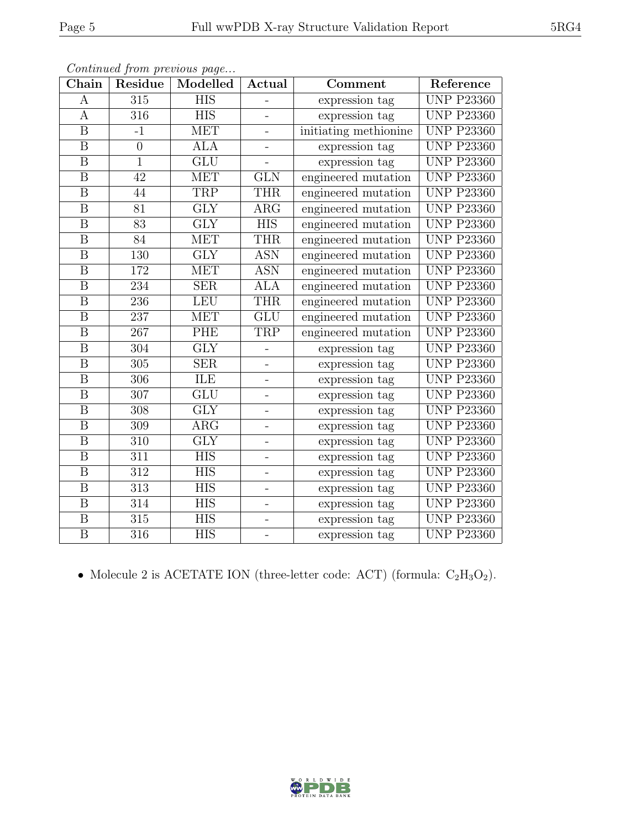| Chain                   | Residue          | Modelled                | Actual                   | Comment               | Reference         |
|-------------------------|------------------|-------------------------|--------------------------|-----------------------|-------------------|
| А                       | 315              | <b>HIS</b>              | -                        | expression tag        | <b>UNP P23360</b> |
| A                       | 316              | <b>HIS</b>              | $\overline{\phantom{0}}$ | expression tag        | <b>UNP P23360</b> |
| $\overline{\mathrm{B}}$ | $-1$             | MET                     |                          | initiating methionine | <b>UNP P23360</b> |
| $\boldsymbol{B}$        | $\theta$         | <b>ALA</b>              | $\blacksquare$           | expression tag        | <b>UNP P23360</b> |
| $\overline{\mathrm{B}}$ | $\overline{1}$   | $\overline{\text{GLU}}$ |                          | expression tag        | <b>UNP P23360</b> |
| $\boldsymbol{B}$        | 42               | <b>MET</b>              | <b>GLN</b>               | engineered mutation   | <b>UNP P23360</b> |
| B                       | 44               | <b>TRP</b>              | <b>THR</b>               | engineered mutation   | <b>UNP P23360</b> |
| B                       | 81               | <b>GLY</b>              | <b>ARG</b>               | engineered mutation   | <b>UNP P23360</b> |
| $\boldsymbol{B}$        | $\overline{83}$  | $\overline{\text{GLY}}$ | <b>HIS</b>               | engineered mutation   | <b>UNP P23360</b> |
| $\overline{\mathrm{B}}$ | 84               | MET                     | <b>THR</b>               | engineered mutation   | <b>UNP P23360</b> |
| $\boldsymbol{B}$        | 130              | <b>GLY</b>              | <b>ASN</b>               | engineered mutation   | <b>UNP P23360</b> |
| $\boldsymbol{B}$        | 172              | <b>MET</b>              | <b>ASN</b>               | engineered mutation   | <b>UNP P23360</b> |
| $\, {\bf B}$            | 234              | <b>SER</b>              | <b>ALA</b>               | engineered mutation   | <b>UNP P23360</b> |
| $\overline{B}$          | 236              | <b>LEU</b>              | <b>THR</b>               | engineered mutation   | <b>UNP P23360</b> |
| $\boldsymbol{B}$        | 237              | <b>MET</b>              | GLU                      | engineered mutation   | <b>UNP P23360</b> |
| B                       | 267              | PHE                     | TRP                      | engineered mutation   | <b>UNP P23360</b> |
| $\, {\bf B}$            | 304              | $\overline{\text{GLY}}$ | -                        | expression tag        | <b>UNP P23360</b> |
| $\overline{B}$          | 305              | <b>SER</b>              | $\overline{\phantom{0}}$ | expression tag        | <b>UNP P23360</b> |
| $\, {\bf B}$            | 306              | ILE                     | $\overline{\phantom{a}}$ | expression tag        | <b>UNP P23360</b> |
| $\boldsymbol{B}$        | 307              | GLU                     | $\overline{\phantom{0}}$ | expression tag        | <b>UNP P23360</b> |
| $\overline{B}$          | 308              | <b>GLY</b>              | $\overline{a}$           | expression tag        | <b>UNP P23360</b> |
| $\boldsymbol{B}$        | 309              | $\rm{ARG}$              | $\overline{\phantom{0}}$ | expression tag        | <b>UNP P23360</b> |
| $\boldsymbol{B}$        | 310              | <b>GLY</b>              | -                        | expression tag        | <b>UNP P23360</b> |
| $\overline{\mathrm{B}}$ | $\overline{311}$ | $\overline{HIS}$        | $\overline{\phantom{0}}$ | expression tag        | <b>UNP P23360</b> |
| B                       | 312              | <b>HIS</b>              | $\overline{a}$           | expression tag        | <b>UNP P23360</b> |
| $\boldsymbol{B}$        | 313              | <b>HIS</b>              | $\overline{\phantom{0}}$ | expression tag        | <b>UNP P23360</b> |
| $\overline{\mathbf{B}}$ | $\overline{314}$ | $\overline{HIS}$        | -                        | expression tag        | <b>UNP P23360</b> |
| $\boldsymbol{B}$        | 315              | <b>HIS</b>              | -                        | expression tag        | <b>UNP P23360</b> |
| $\overline{\mathrm{B}}$ | $\overline{316}$ | $\overline{\text{HIS}}$ | $\overline{\phantom{0}}$ | expression tag        | <b>UNP P23360</b> |

Continued from previous page...

• Molecule 2 is ACETATE ION (three-letter code: ACT) (formula:  $C_2H_3O_2$ ).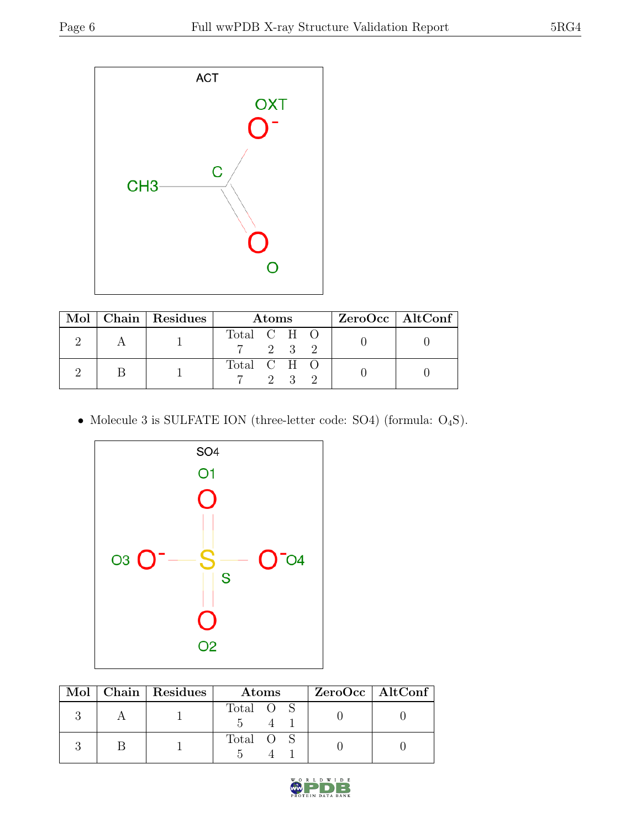

|  | Mol   Chain   Residues | <b>Atoms</b> |  |              |  | $ZeroOcc \   \$ AltConf |
|--|------------------------|--------------|--|--------------|--|-------------------------|
|  |                        | Total C H O  |  | 2 3 2        |  |                         |
|  |                        | Total C H O  |  | $2 \sqrt{3}$ |  |                         |

 $\bullet$  Molecule 3 is SULFATE ION (three-letter code: SO4) (formula:  $\mathrm{O}_4\mathrm{S}).$ 



|  | Mol   Chain   Residues | Atoms     | ZeroOcc   AltConf |
|--|------------------------|-----------|-------------------|
|  |                        | Total O S |                   |
|  |                        | Total O S |                   |

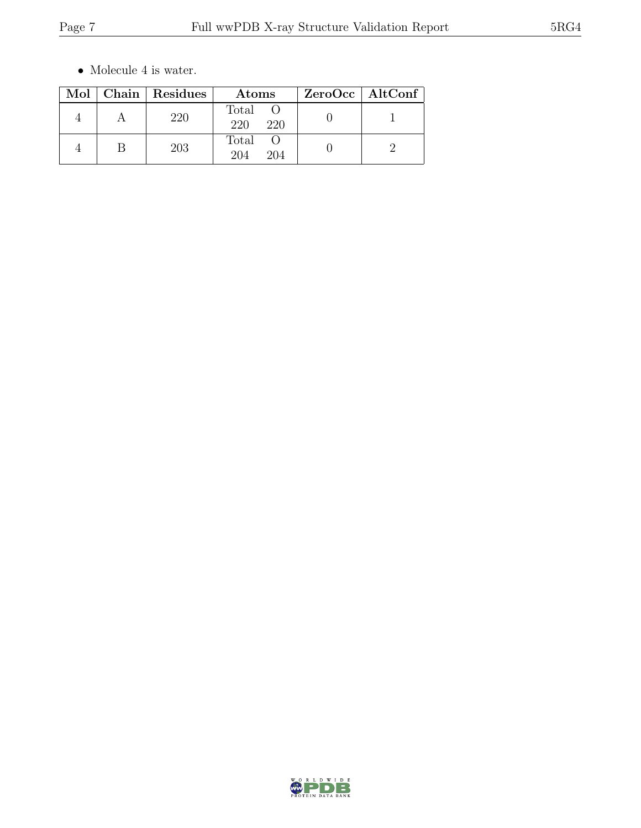$\bullet\,$  Molecule 4 is water.

|  | Mol   Chain   Residues | Atoms               | ZeroOcc   AltConf |
|--|------------------------|---------------------|-------------------|
|  | 220                    | Total<br>220<br>220 |                   |
|  | 203                    | Total<br>204<br>204 |                   |

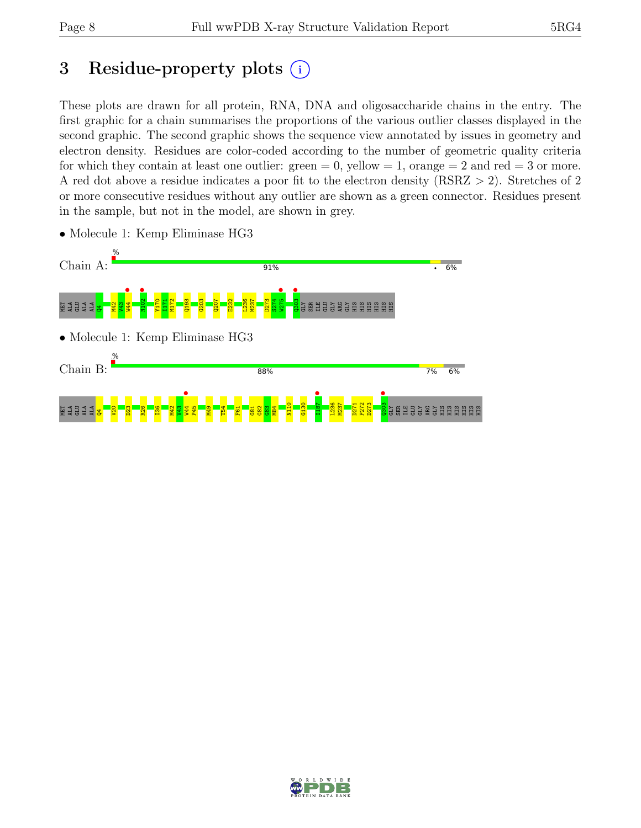# 3 Residue-property plots  $(i)$

These plots are drawn for all protein, RNA, DNA and oligosaccharide chains in the entry. The first graphic for a chain summarises the proportions of the various outlier classes displayed in the second graphic. The second graphic shows the sequence view annotated by issues in geometry and electron density. Residues are color-coded according to the number of geometric quality criteria for which they contain at least one outlier:  $green = 0$ , yellow  $= 1$ , orange  $= 2$  and red  $= 3$  or more. A red dot above a residue indicates a poor fit to the electron density (RSRZ > 2). Stretches of 2 or more consecutive residues without any outlier are shown as a green connector. Residues present in the sample, but not in the model, are shown in grey.



• Molecule 1: Kemp Eliminase HG3

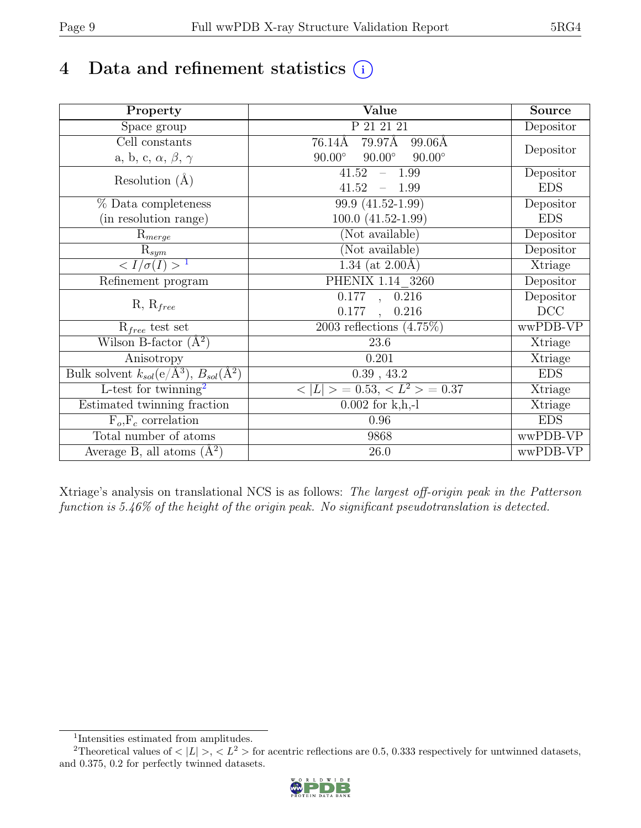## 4 Data and refinement statistics  $(i)$

| Property                                                             | Value                                           | Source     |
|----------------------------------------------------------------------|-------------------------------------------------|------------|
| Space group                                                          | P 21 21 21                                      | Depositor  |
| $\overline{C}$ ell constants                                         | $79.97\text{\AA}$<br>76.14Å<br>99.06Å           |            |
| a, b, c, $\alpha$ , $\beta$ , $\gamma$                               | $90.00^\circ$<br>$90.00^\circ$<br>$90.00^\circ$ | Depositor  |
| Resolution $(A)$                                                     | 41.52<br>$-1.99$                                | Depositor  |
|                                                                      | 41.52<br>$-1.99$                                | <b>EDS</b> |
| % Data completeness                                                  | 99.9 (41.52-1.99)                               | Depositor  |
| (in resolution range)                                                | $100.0 (41.52 - 1.99)$                          | <b>EDS</b> |
| $R_{merge}$                                                          | (Not available)                                 | Depositor  |
| $\mathrm{R}_{sym}$                                                   | (Not available)                                 | Depositor  |
| $\langle I/\sigma(I) \rangle$ <sup>1</sup>                           | 1.34 (at $2.00\text{\AA}$ )                     | Xtriage    |
| Refinement program                                                   | PHENIX 1.14 3260                                | Depositor  |
|                                                                      | $\overline{0.177}$ , 0.216                      | Depositor  |
| $R, R_{free}$                                                        | 0.177<br>0.216<br>$\ddot{\phantom{a}}$          | DCC        |
| $R_{free}$ test set                                                  | 2003 reflections $(4.75\%)$                     | wwPDB-VP   |
| Wilson B-factor $(A^2)$                                              | 23.6                                            | Xtriage    |
| Anisotropy                                                           | 0.201                                           | Xtriage    |
| Bulk solvent $k_{sol}(e/\mathring{A}^3)$ , $B_{sol}(\mathring{A}^2)$ | 0.39, 43.2                                      | <b>EDS</b> |
| L-test for twinning <sup>2</sup>                                     | $< L >$ = 0.53, $< L2$ > = 0.37                 | Xtriage    |
| Estimated twinning fraction                                          | $0.002$ for $k, h, -1$                          | Xtriage    |
| $F_o, F_c$ correlation                                               | 0.96                                            | <b>EDS</b> |
| Total number of atoms                                                | 9868                                            | wwPDB-VP   |
| Average B, all atoms $(A^2)$                                         | 26.0                                            | wwPDB-VP   |

Xtriage's analysis on translational NCS is as follows: The largest off-origin peak in the Patterson function is 5.46% of the height of the origin peak. No significant pseudotranslation is detected.

<sup>&</sup>lt;sup>2</sup>Theoretical values of  $\langle |L| \rangle$ ,  $\langle L^2 \rangle$  for acentric reflections are 0.5, 0.333 respectively for untwinned datasets, and 0.375, 0.2 for perfectly twinned datasets.



<span id="page-8-1"></span><span id="page-8-0"></span><sup>1</sup> Intensities estimated from amplitudes.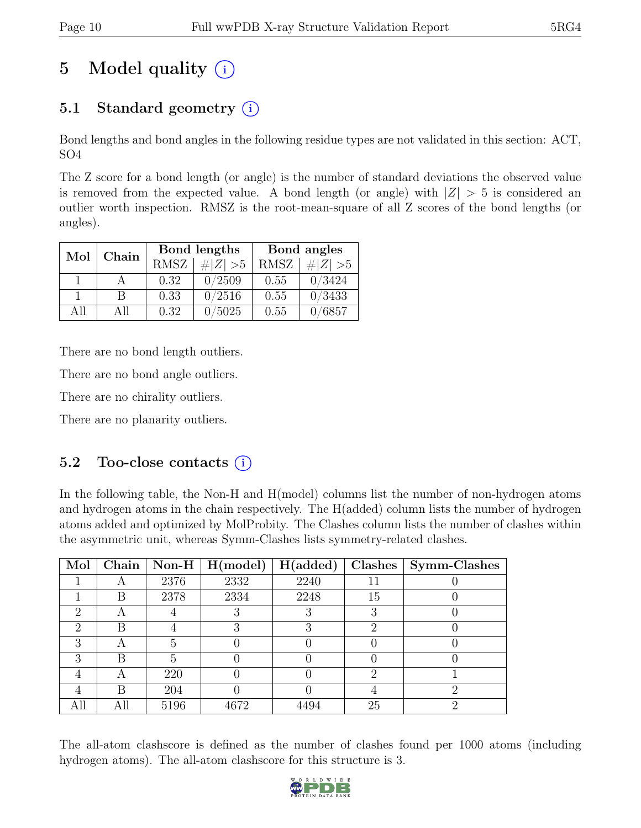# 5 Model quality  $(i)$

### 5.1 Standard geometry  $(i)$

Bond lengths and bond angles in the following residue types are not validated in this section: ACT, SO4

The Z score for a bond length (or angle) is the number of standard deviations the observed value is removed from the expected value. A bond length (or angle) with  $|Z| > 5$  is considered an outlier worth inspection. RMSZ is the root-mean-square of all Z scores of the bond lengths (or angles).

| Mol | Chain |             | Bond lengths | Bond angles |             |  |
|-----|-------|-------------|--------------|-------------|-------------|--|
|     |       | <b>RMSZ</b> | $\# Z  > 5$  | <b>RMSZ</b> | # $ Z  > 5$ |  |
|     |       | 0.32        | 0/2509       | 0.55        | 0/3424      |  |
|     | В     | 0.33        | 0/2516       | 0.55        | 0/3433      |  |
| All | All   | 0.32        | 5025         | 0.55        | /6857       |  |

There are no bond length outliers.

There are no bond angle outliers.

There are no chirality outliers.

There are no planarity outliers.

#### 5.2 Too-close contacts  $(i)$

In the following table, the Non-H and H(model) columns list the number of non-hydrogen atoms and hydrogen atoms in the chain respectively. The H(added) column lists the number of hydrogen atoms added and optimized by MolProbity. The Clashes column lists the number of clashes within the asymmetric unit, whereas Symm-Clashes lists symmetry-related clashes.

| Mol                         | Chain |      | Non-H $\mid$ H(model) | H(added) |    | $Clashes$   Symm-Clashes |
|-----------------------------|-------|------|-----------------------|----------|----|--------------------------|
|                             |       | 2376 | 2332                  | 2240     |    |                          |
|                             | В     | 2378 | 2334                  | 2248     | 15 |                          |
| 2                           | Η     |      |                       |          |    |                          |
| $\mathcal{D}_{\mathcal{L}}$ | В     |      | R                     | २        | റ  |                          |
| 3                           | А     | 5    |                       |          |    |                          |
| 3                           | В     |      |                       |          |    |                          |
|                             |       | 220  |                       |          | റ  |                          |
|                             | В     | 204  |                       |          |    | ٠,                       |
| All                         | All   | 5196 | 4672                  | 4494     | 25 |                          |

The all-atom clashscore is defined as the number of clashes found per 1000 atoms (including hydrogen atoms). The all-atom clashscore for this structure is 3.

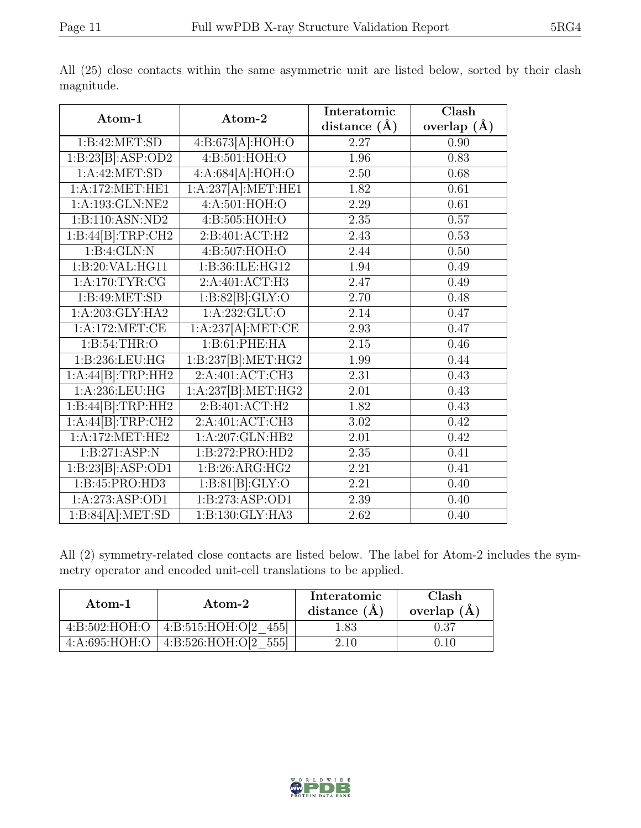|                                                         |                                          | Interatomic       | $\overline{\text{Clash}}$ |
|---------------------------------------------------------|------------------------------------------|-------------------|---------------------------|
| Atom-1                                                  | Atom-2                                   | distance $(A)$    | overlap $(A)$             |
| 1:B:42:MET:SD                                           | 4:B:673[A]:HOH:O                         | 2.27              | 0.90                      |
| 1:B:23[B]:ASP:OD2                                       | 4:B:501:HOH:O                            | 1.96              | 0.83                      |
| $1:A:42:\overline{\text{MET:SD}}$                       | 4:A:684[A]:HOH:O                         | 2.50              | 0.68                      |
| 1: A:172: MET:HE1                                       | 1:A:237[A]:MET:HE1                       | 1.82              | $\overline{0.61}$         |
| 1:A:193:GLN:NE2                                         | 4:A:501:HOH:O                            | 2.29              | 0.61                      |
| 1:B:110:ASN:ND2                                         | 4: B: 505: HOH:O                         | 2.35              | 0.57                      |
| $1:B:44[{\textsf{B}}]:\!T\textsf{RP}: \!{\textsf{CH}}2$ | 2: B:401: ACT:H2                         | 2.43              | 0.53                      |
| 1:B:4:GLN:N                                             | 4:B:507:HOH:O                            | 2.44              | 0.50                      |
| 1:B:20:VAL:HG11                                         | 1:B:36:ILE:HG12                          | 1.94              | 0.49                      |
| 1: A:170: TYR: CG                                       | 2:A:401:ACT:H3                           | 2.47              | 0.49                      |
| 1:B:49:MET:SD                                           | $1:B:82[B]\overline{\cdot \text{GLY:O}}$ | 2.70              | 0.48                      |
| 1:A:203:GLY:HA2                                         | 1: A: 232: GLU:O                         | 2.14              | 0.47                      |
| 1: A:172:MET:CE                                         | 1:A:237[A]:MET:CE                        | 2.93              | 0.47                      |
| 1: B:54:THR:O                                           | 1:B:61:PHE:HA                            | 2.15              | 0.46                      |
| 1:B:236:LEU:HG                                          | 1:B:237[B]:MET:HG2                       | 1.99              | 0.44                      |
| 1:A:44[B]:TRP:HH2                                       | 2:A:401:ACT:CH3                          | $\overline{2.31}$ | 0.43                      |
| $1: A: 236: \overline{\mathrm{LEU:HG}}$                 | 1:A:237[B]:MET:HG2                       | 2.01              | 0.43                      |
| $1:B:44[{\sf B}]:\mathsf{TRP:HH2}$                      | 2:B:401:ACT:H2                           | 1.82              | 0.43                      |
| 1:A:44[B]:TRP:CH2                                       | 2:A:401:ACT:CH3                          | $\overline{3.02}$ | 0.42                      |
| 1:A:172:MET:HE2                                         | 1:A:207:GLN:HB2                          | 2.01              | 0.42                      |
| 1:B:271:ASP:N                                           | 1:B:272:PRO:HD2                          | 2.35              | 0.41                      |
| 1:B:23[B]:ASP:OD1                                       | 1:B:26:ARG:HG2                           | 2.21              | 0.41                      |
| 1:B:45:PRO:HD3                                          | 1:B:81[B]:GLY:O                          | 2.21              | 0.40                      |
| 1:A:273:ASP:OD1                                         | 1:B:273:ASP:OD1                          | 2.39              | 0.40                      |
| 1:B:84[A]:MET:SD                                        | 1:B:130:GLY:HA3                          | 2.62              | 0.40                      |

All (25) close contacts within the same asymmetric unit are listed below, sorted by their clash magnitude.

All (2) symmetry-related close contacts are listed below. The label for Atom-2 includes the symmetry operator and encoded unit-cell translations to be applied.

| Atom-1          | Atom-2                   | Interatomic<br>distance $(A)$ | Clash<br>overlap $(A)$ |
|-----------------|--------------------------|-------------------------------|------------------------|
| 4: B:502: HOH:O | 4: B: 515: HOH: O[2 455] | .83                           | ).37                   |
| 4: A:695: HOH:O | 4:B:526:HOH:O[2<br>5551  | 2.10                          |                        |

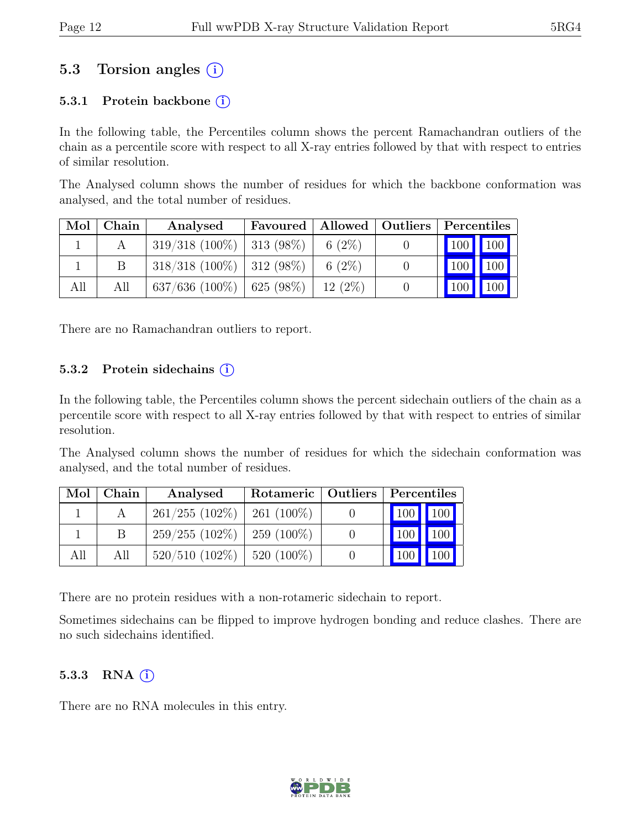### 5.3 Torsion angles (i)

#### 5.3.1 Protein backbone  $(i)$

In the following table, the Percentiles column shows the percent Ramachandran outliers of the chain as a percentile score with respect to all X-ray entries followed by that with respect to entries of similar resolution.

The Analysed column shows the number of residues for which the backbone conformation was analysed, and the total number of residues.

| Mol | Chain | Analysed                       |           | Favoured   Allowed   Outliers   Percentiles |
|-----|-------|--------------------------------|-----------|---------------------------------------------|
|     |       | $319/318$ (100\%)   313 (98\%) | 6 $(2\%)$ | 100   100                                   |
|     |       | $318/318$ (100\%)   312 (98\%) | 6 $(2\%)$ | $100$ 100                                   |
| All | All   | $637/636$ (100%)   625 (98%)   | $12(2\%)$ | 100<br> 100                                 |

There are no Ramachandran outliers to report.

#### 5.3.2 Protein sidechains  $(i)$

In the following table, the Percentiles column shows the percent sidechain outliers of the chain as a percentile score with respect to all X-ray entries followed by that with respect to entries of similar resolution.

The Analysed column shows the number of residues for which the sidechain conformation was analysed, and the total number of residues.

| Mol | Chain ' | Analysed                        |               | Rotameric   Outliers   Percentiles |
|-----|---------|---------------------------------|---------------|------------------------------------|
|     |         | $261/255$ $(102\%)$             | 261 $(100\%)$ | 100 100                            |
|     | -B      | $259/255$ (102\%)   259 (100\%) |               | 100 100                            |
| All | All     | $520/510$ (102\%)   520 (100\%) |               | 100 100                            |

There are no protein residues with a non-rotameric sidechain to report.

Sometimes sidechains can be flipped to improve hydrogen bonding and reduce clashes. There are no such sidechains identified.

#### 5.3.3 RNA  $(i)$

There are no RNA molecules in this entry.

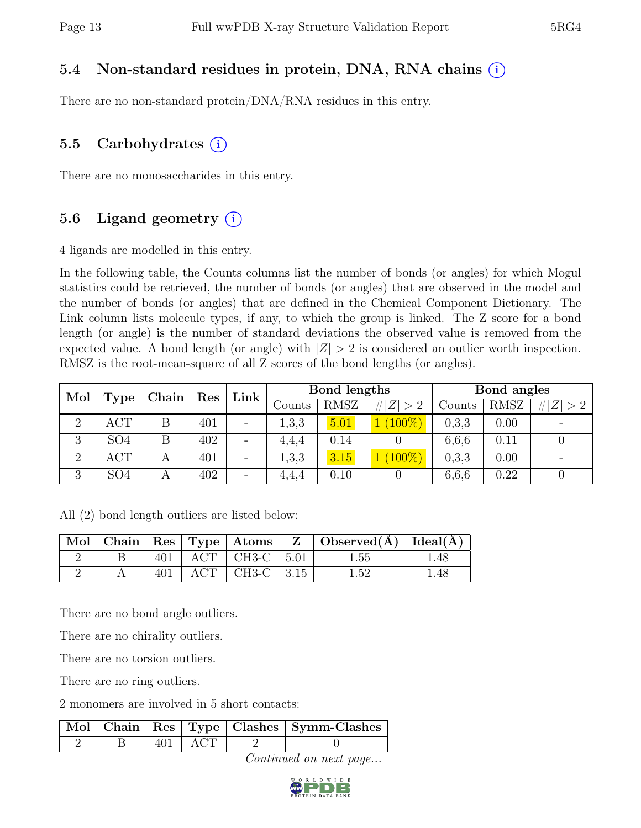#### 5.4 Non-standard residues in protein, DNA, RNA chains (i)

There are no non-standard protein/DNA/RNA residues in this entry.

### 5.5 Carbohydrates  $(i)$

There are no monosaccharides in this entry.

### 5.6 Ligand geometry  $(i)$

4 ligands are modelled in this entry.

In the following table, the Counts columns list the number of bonds (or angles) for which Mogul statistics could be retrieved, the number of bonds (or angles) that are observed in the model and the number of bonds (or angles) that are defined in the Chemical Component Dictionary. The Link column lists molecule types, if any, to which the group is linked. The Z score for a bond length (or angle) is the number of standard deviations the observed value is removed from the expected value. A bond length (or angle) with  $|Z| > 2$  is considered an outlier worth inspection. RMSZ is the root-mean-square of all Z scores of the bond lengths (or angles).

| Mol            |                 | Chain<br>Res |     |                          | Bond lengths<br>$Link \mid$ |             |             | Bond angles |      |             |
|----------------|-----------------|--------------|-----|--------------------------|-----------------------------|-------------|-------------|-------------|------|-------------|
|                | Type            |              |     |                          | Counts                      | <b>RMSZ</b> | # $ Z  > 2$ | Counts      | RMSZ | # $ Z  > 2$ |
| $\overline{2}$ | ACT             | Β            | 401 | $\overline{\phantom{0}}$ | 1,3,3                       | 5.01        | $(100\%)$   | 0,3,3       | 0.00 |             |
| 3              | SO <sub>4</sub> |              | 402 | $\overline{\phantom{a}}$ | 4,4,4                       | 0.14        |             | 6,6,6       | 0.11 |             |
| $\overline{2}$ | ACT             |              | 401 |                          | 1,3,3                       | 3.15        | $(100\%)$   | 0,3,3       | 0.00 |             |
| 3              | SO <sub>4</sub> | А            | 402 |                          | 4.4.4                       | 0.10        |             | 6,6,6       | 0.22 |             |

All (2) bond length outliers are listed below:

|  |     |                                | $\mid$ Mol $\mid$ Chain $\mid$ Res $\mid$ Type $\mid$ Atoms $\mid$ Z $\mid$ Observed(A) $\mid$ Ideal(A) $\mid$ |      |
|--|-----|--------------------------------|----------------------------------------------------------------------------------------------------------------|------|
|  | 401 | $+$ ACT $+$ CH3-C $+$ 5.01 $+$ | 1.55                                                                                                           | .48  |
|  | 401 | $\text{ACT}$   CH3-C   3.15    | 1.52                                                                                                           | 1.48 |

There are no bond angle outliers.

There are no chirality outliers.

There are no torsion outliers.

There are no ring outliers.

2 monomers are involved in 5 short contacts:

|  |           | Mol Chain Res Type Clashes Symm-Clashes |
|--|-----------|-----------------------------------------|
|  | $401$ ACT |                                         |

Continued on next page...

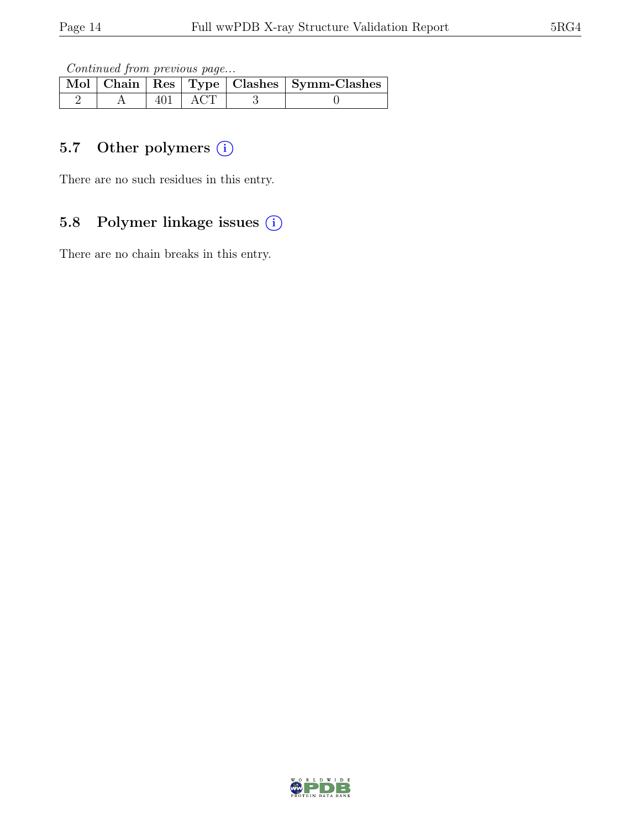Continued from previous page...

|  |           | Mol   Chain   Res   Type   Clashes   Symm-Clashes |
|--|-----------|---------------------------------------------------|
|  | $401$ ACT |                                                   |

#### 5.7 Other polymers (i)

There are no such residues in this entry.

#### 5.8 Polymer linkage issues (i)

There are no chain breaks in this entry.

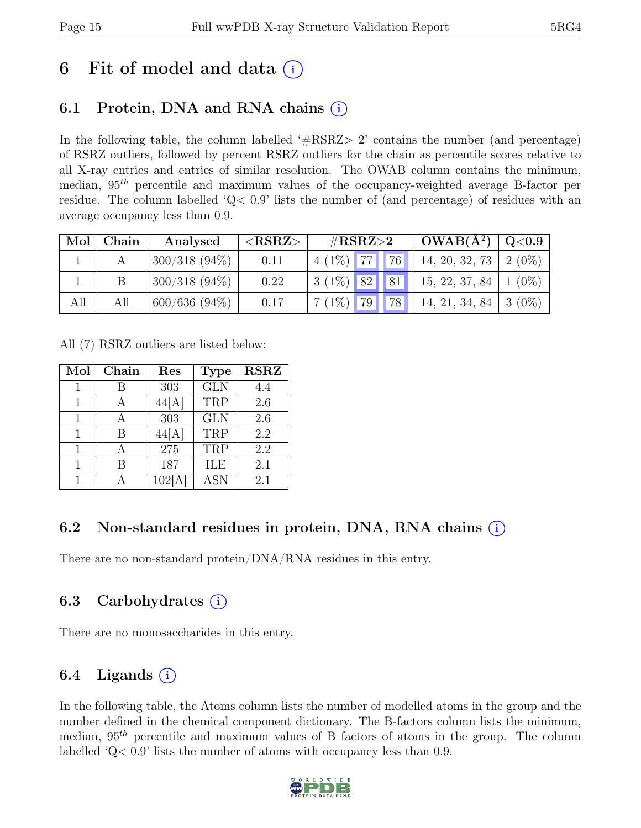## 6 Fit of model and data  $(i)$

### 6.1 Protein, DNA and RNA chains  $(i)$

In the following table, the column labelled  $#RSRZ>2$  contains the number (and percentage) of RSRZ outliers, followed by percent RSRZ outliers for the chain as percentile scores relative to all X-ray entries and entries of similar resolution. The OWAB column contains the minimum, median,  $95<sup>th</sup>$  percentile and maximum values of the occupancy-weighted average B-factor per residue. The column labelled 'Q< 0.9' lists the number of (and percentage) of residues with an average occupancy less than 0.9.

| Mol | Chain | Analysed        | ${ <\hspace{-1.5pt}{\mathrm{RSRZ}} \hspace{-1.5pt}>}$ | $\#\text{RSRZ}\!\!>\!\!2$ |    | $OWAB(A^2)$                    | $\rm Q\textcolor{black}{<}0.9$ |
|-----|-------|-----------------|-------------------------------------------------------|---------------------------|----|--------------------------------|--------------------------------|
|     |       | $300/318(94\%)$ | 0.11                                                  | 77<br>$4(1\%)$            | 76 | $14, 20, 32, 73$   2 (0%)      |                                |
|     |       | $300/318(94\%)$ | 0.22                                                  | $3(1\%)$ 82 81            |    | $\vert$ 15, 22, 37, 84 $\vert$ | $1(0\%)$                       |
| All | All   | 600/636 (94%)   | 0.17                                                  | 79    <br>$7(1\%)$        | 78 | $14, 21, 34, 84$   3 (0%)      |                                |

All (7) RSRZ outliers are listed below:

| Mol | Chain | Res    | <b>Type</b> | <b>RSRZ</b> |
|-----|-------|--------|-------------|-------------|
|     | R     | 303    | <b>GLN</b>  | 4.4         |
| 1   | А     | 44[A]  | TRP         | 2.6         |
|     |       | 303    | <b>GLN</b>  | 2.6         |
| 1   | В     | 44[A]  | TRP         | 2.2         |
|     |       | 275    | TRP         | 2.2         |
|     | В     | 187    | ILE         | 2.1         |
|     |       | 102[A] | <b>ASN</b>  | 2.1         |

### 6.2 Non-standard residues in protein, DNA, RNA chains  $(i)$

There are no non-standard protein/DNA/RNA residues in this entry.

### 6.3 Carbohydrates (i)

There are no monosaccharides in this entry.

### 6.4 Ligands  $(i)$

In the following table, the Atoms column lists the number of modelled atoms in the group and the number defined in the chemical component dictionary. The B-factors column lists the minimum, median,  $95<sup>th</sup>$  percentile and maximum values of B factors of atoms in the group. The column labelled 'Q< 0.9' lists the number of atoms with occupancy less than 0.9.